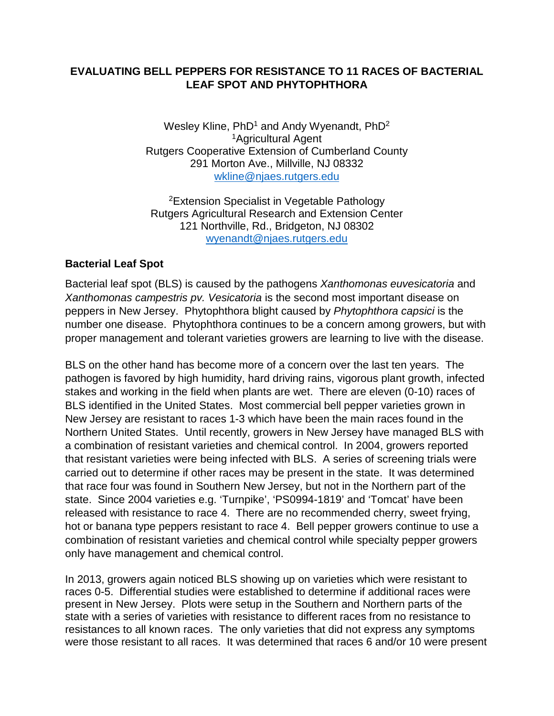## **EVALUATING BELL PEPPERS FOR RESISTANCE TO 11 RACES OF BACTERIAL LEAF SPOT AND PHYTOPHTHORA**

Wesley Kline,  $PhD<sup>1</sup>$  and Andy Wyenandt,  $PhD<sup>2</sup>$ 1Agricultural Agent Rutgers Cooperative Extension of Cumberland County 291 Morton Ave., Millville, NJ 08332 [wkline@njaes.rutgers.edu](mailto:wkline@njaes.rutgers.edu)

2Extension Specialist in Vegetable Pathology Rutgers Agricultural Research and Extension Center 121 Northville, Rd., Bridgeton, NJ 08302 [wyenandt@njaes.rutgers.edu](mailto:wyenandt@njaes.rutgers.edu)

## **Bacterial Leaf Spot**

Bacterial leaf spot (BLS) is caused by the pathogens *Xanthomonas euvesicatoria* and *Xanthomonas campestris pv. Vesicatoria* is the second most important disease on peppers in New Jersey. Phytophthora blight caused by *Phytophthora capsici* is the number one disease. Phytophthora continues to be a concern among growers, but with proper management and tolerant varieties growers are learning to live with the disease.

BLS on the other hand has become more of a concern over the last ten years. The pathogen is favored by high humidity, hard driving rains, vigorous plant growth, infected stakes and working in the field when plants are wet. There are eleven (0-10) races of BLS identified in the United States. Most commercial bell pepper varieties grown in New Jersey are resistant to races 1-3 which have been the main races found in the Northern United States. Until recently, growers in New Jersey have managed BLS with a combination of resistant varieties and chemical control. In 2004, growers reported that resistant varieties were being infected with BLS. A series of screening trials were carried out to determine if other races may be present in the state. It was determined that race four was found in Southern New Jersey, but not in the Northern part of the state. Since 2004 varieties e.g. 'Turnpike', 'PS0994-1819' and 'Tomcat' have been released with resistance to race 4. There are no recommended cherry, sweet frying, hot or banana type peppers resistant to race 4. Bell pepper growers continue to use a combination of resistant varieties and chemical control while specialty pepper growers only have management and chemical control.

In 2013, growers again noticed BLS showing up on varieties which were resistant to races 0-5. Differential studies were established to determine if additional races were present in New Jersey. Plots were setup in the Southern and Northern parts of the state with a series of varieties with resistance to different races from no resistance to resistances to all known races. The only varieties that did not express any symptoms were those resistant to all races. It was determined that races 6 and/or 10 were present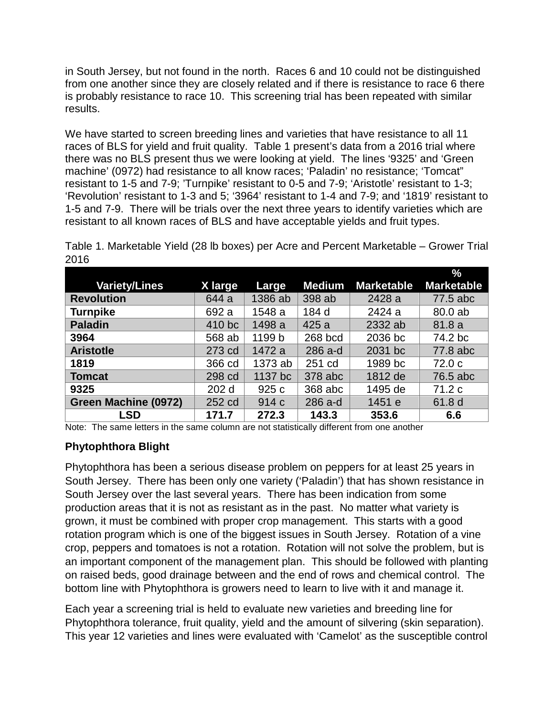in South Jersey, but not found in the north. Races 6 and 10 could not be distinguished from one another since they are closely related and if there is resistance to race 6 there is probably resistance to race 10. This screening trial has been repeated with similar results.

We have started to screen breeding lines and varieties that have resistance to all 11 races of BLS for yield and fruit quality. Table 1 present's data from a 2016 trial where there was no BLS present thus we were looking at yield. The lines '9325' and 'Green machine' (0972) had resistance to all know races; 'Paladin' no resistance; 'Tomcat" resistant to 1-5 and 7-9; 'Turnpike' resistant to 0-5 and 7-9; 'Aristotle' resistant to 1-3; 'Revolution' resistant to 1-3 and 5; '3964' resistant to 1-4 and 7-9; and '1819' resistant to 1-5 and 7-9. There will be trials over the next three years to identify varieties which are resistant to all known races of BLS and have acceptable yields and fruit types.

Table 1. Marketable Yield (28 lb boxes) per Acre and Percent Marketable – Grower Trial 2016

|                      |                  |         |               |                   | $\%$              |
|----------------------|------------------|---------|---------------|-------------------|-------------------|
| <b>Variety/Lines</b> | X large          | Large   | <b>Medium</b> | <b>Marketable</b> | <b>Marketable</b> |
| <b>Revolution</b>    | 644 a            | 1386 ab | 398 ab        | 2428 a            | 77.5 abc          |
| <b>Turnpike</b>      | 692 a            | 1548 a  | 184 d         | 2424 a            | 80.0 ab           |
| <b>Paladin</b>       | 410 bc           | 1498 a  | 425 a         | 2332 ab           | 81.8a             |
| 3964                 | 568 ab           | 1199 b  | 268 bcd       | 2036 bc           | 74.2 bc           |
| <b>Aristotle</b>     | 273 cd           | 1472 a  | 286 a-d       | 2031 bc           | 77.8 abc          |
| 1819                 | 366 cd           | 1373 ab | 251 cd        | 1989 bc           | 72.0 <sub>c</sub> |
| <b>Tomcat</b>        | 298 cd           | 1137 bc | 378 abc       | 1812 de           | 76.5 abc          |
| 9325                 | 202 <sub>d</sub> | 925 c   | 368 abc       | 1495 de           | 71.2 c            |
| Green Machine (0972) | 252 cd           | 914 c   | 286 a-d       | 1451 e            | 61.8 d            |
| <b>LSD</b>           | 171.7            | 272.3   | 143.3         | 353.6             | 6.6               |

Note: The same letters in the same column are not statistically different from one another

## **Phytophthora Blight**

Phytophthora has been a serious disease problem on peppers for at least 25 years in South Jersey. There has been only one variety ('Paladin') that has shown resistance in South Jersey over the last several years. There has been indication from some production areas that it is not as resistant as in the past. No matter what variety is grown, it must be combined with proper crop management. This starts with a good rotation program which is one of the biggest issues in South Jersey. Rotation of a vine crop, peppers and tomatoes is not a rotation. Rotation will not solve the problem, but is an important component of the management plan. This should be followed with planting on raised beds, good drainage between and the end of rows and chemical control. The bottom line with Phytophthora is growers need to learn to live with it and manage it.

Each year a screening trial is held to evaluate new varieties and breeding line for Phytophthora tolerance, fruit quality, yield and the amount of silvering (skin separation). This year 12 varieties and lines were evaluated with 'Camelot' as the susceptible control